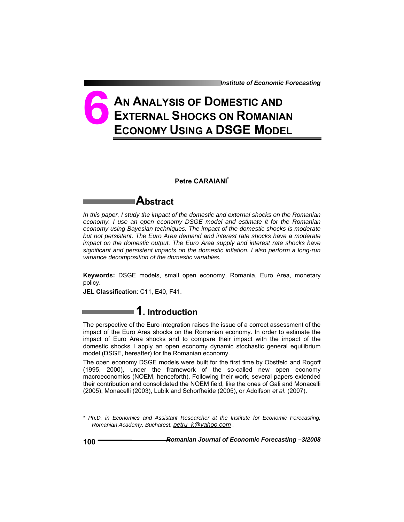*Institute of Economic Forecasting*

# **AN ANALYSIS OF DOMESTIC AND EXTERNAL SHOCKS ON ROMANIAN ECONOMY USING A DSGE MODEL 6**

#### **Petre CARAIANI\***

### **Abstract**

*In this paper, I study the impact of the domestic and external shocks on the Romanian economy. I use an open economy DSGE model and estimate it for the Romanian economy using Bayesian techniques. The impact of the domestic shocks is moderate but not persistent. The Euro Area demand and interest rate shocks have a moderate impact on the domestic output. The Euro Area supply and interest rate shocks have significant and persistent impacts on the domestic inflation. I also perform a long-run variance decomposition of the domestic variables.* 

**Keywords:** DSGE models, small open economy, Romania, Euro Area, monetary policy.

**JEL Classification**: C11, E40, F41.

### **1. Introduction**

The perspective of the Euro integration raises the issue of a correct assessment of the impact of the Euro Area shocks on the Romanian economy. In order to estimate the impact of Euro Area shocks and to compare their impact with the impact of the domestic shocks I apply an open economy dynamic stochastic general equilibrium model (DSGE, hereafter) for the Romanian economy.

The open economy DSGE models were built for the first time by Obstfeld and Rogoff (1995, 2000), under the framework of the so-called new open economy macroeconomics (NOEM, henceforth). Following their work, several papers extended their contribution and consolidated the NOEM field, like the ones of Gali and Monacelli (2005), Monacelli (2003), Lubik and Schorfheide (2005), or Adolfson *et al*. (2007).

l

*<sup>\*</sup> Ph.D. in Economics and Assistant Researcher at the Institute for Economic Forecasting, Romanian Academy, Bucharest, petru\_k@yahoo.com .*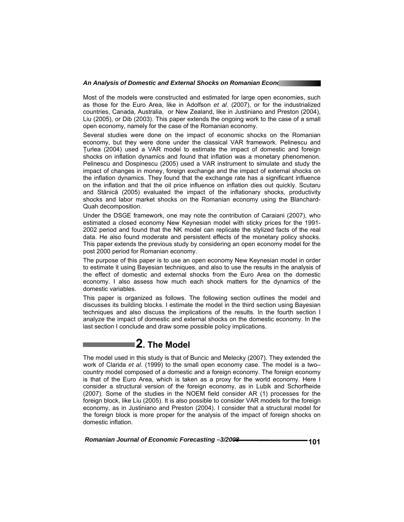Most of the models were constructed and estimated for large open economies, such as those for the Euro Area, like in Adolfson *et al*. (2007), or for the industrialized countries, Canada, Australia, or New Zealand, like in Justiniano and Preston (2004), Liu (2005), or Dib (2003). This paper extends the ongoing work to the case of a small open economy, namely for the case of the Romanian economy.

Several studies were done on the impact of economic shocks on the Romanian economy, but they were done under the classical VAR framework. Pelinescu and Ţurlea (2004) used a VAR model to estimate the impact of domestic and foreign shocks on inflation dynamics and found that inflation was a monetary phenomenon. Pelinescu and Dospinescu (2005) used a VAR instrument to simulate and study the impact of changes in money, foreign exchange and the impact of external shocks on the inflation dynamics. They found that the exchange rate has a significant influence on the inflation and that the oil price influence on inflation dies out quickly. Scutaru and Stănică (2005) evaluated the impact of the inflationary shocks, productivity shocks and labor market shocks on the Romanian economy using the Blanchard-Quah decomposition.

Under the DSGE framework, one may note the contribution of Caraiani (2007), who estimated a closed economy New Keynesian model with sticky prices for the 1991- 2002 period and found that the NK model can replicate the stylized facts of the real data. He also found moderate and persistent effects of the monetary policy shocks. This paper extends the previous study by considering an open economy model for the post 2000 period for Romanian economy.

The purpose of this paper is to use an open economy New Keynesian model in order to estimate it using Bayesian techniques, and also to use the results in the analysis of the effect of domestic and external shocks from the Euro Area on the domestic economy. I also assess how much each shock matters for the dynamics of the domestic variables.

This paper is organized as follows. The following section outlines the model and discusses its building blocks. I estimate the model in the third section using Bayesian techniques and also discuss the implications of the results. In the fourth section I analyze the impact of domestic and external shocks on the domestic economy. In the last section I conclude and draw some possible policy implications.

## **2. The Model**

The model used in this study is that of Buncic and Melecky (2007). They extended the work of Clarida *et al*. (1999) to the small open economy case. The model is a two– country model composed of a domestic and a foreign economy. The foreign economy is that of the Euro Area, which is taken as a proxy for the world economy. Here I consider a structural version of the foreign economy, as in Lubik and Schorfheide (2007). Some of the studies in the NOEM field consider AR (1) processes for the foreign block, like Liu (2005). It is also possible to consider VAR models for the foreign economy, as in Justiniano and Preston (2004). I consider that a structural model for the foreign block is more proper for the analysis of the impact of foreign shocks on domestic inflation.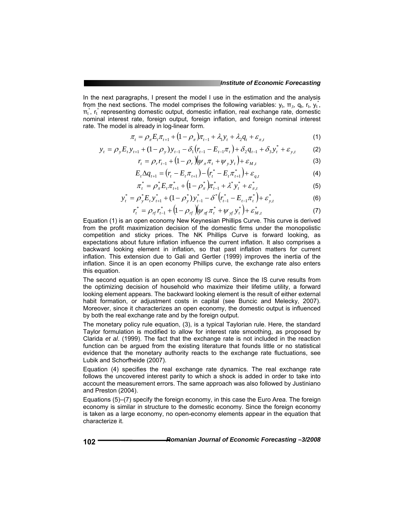In the next paragraphs, I present the model I use in the estimation and the analysis from the next sections. The model comprises the following variables:  $y_t$ ,  $\pi_t$ ,  $q_t$ ,  $r_t$ ,  $y_t^*$ ,  $\pi_t^*$ ,  $r_t^*$  representing domestic output, domestic inflation, real exchange rate, domestic nominal interest rate, foreign output, foreign inflation, and foreign nominal interest rate. The model is already in log-linear form.

$$
\pi_t = \rho_{\pi} E_t \pi_{t+1} + (1 - \rho_{\pi}) \pi_{t-1} + \lambda_1 y_t + \lambda_2 q_t + \varepsilon_{\pi, t}
$$
 (1)

$$
y_t = \rho_y E_t y_{t+1} + (1 - \rho_y) y_{t-1} - \delta_1 (r_{t-1} - E_{t-1} \pi_t) + \delta_2 q_{t-1} + \delta_3 y_t^* + \varepsilon_{y,t}
$$
 (2)

$$
r_{t} = \rho_{r} r_{t-1} + (1 - \rho_{r}) (\psi_{\pi} \pi_{t} + \psi_{y} y_{t}) + \varepsilon_{M,t}
$$
 (3)

$$
E_{t} \Delta q_{t+1} = (r_{t} - E_{t} \pi_{t+1}) - (r_{t}^{*} - E_{t} \pi_{t+1}^{*}) + \varepsilon_{q,t}
$$
\n
$$
\tag{4}
$$

$$
\pi_t^* = \rho_{\pi}^* E_t \pi_{t+1}^* + (1 - \rho_{\pi}^*) \pi_{t-1}^* + \lambda^* y_t^* + \varepsilon_{\pi, t}^* \tag{5}
$$

$$
y_t^* = \rho_y^* E_t y_{t+1}^* + (1 - \rho_y^*) y_{t-1}^* - \delta^* (r_{t-1}^* - E_{t-1} \pi_t^*) + \varepsilon_{y,t}^*
$$
(6)

$$
r_t^* = \rho_{rf} r_{t-1}^* + (1 - \rho_{rf}) (\psi_{rf} \pi_t^* + \psi_{rf} y_t^*) + \varepsilon_{M,t}^* \tag{7}
$$

Equation (1) is an open economy New Keynesian Phillips Curve. This curve is derived from the profit maximization decision of the domestic firms under the monopolistic competition and sticky prices. The NK Phillips Curve is forward looking, as expectations about future inflation influence the current inflation. It also comprises a backward looking element in inflation, so that past inflation matters for current inflation. This extension due to Gali and Gertler (1999) improves the inertia of the inflation. Since it is an open economy Phillips curve, the exchange rate also enters this equation.

The second equation is an open economy IS curve. Since the IS curve results from the optimizing decision of household who maximize their lifetime utility, a forward looking element appears. The backward looking element is the result of either external habit formation, or adjustment costs in capital (see Buncic and Melecky, 2007). Moreover, since it characterizes an open economy, the domestic output is influenced by both the real exchange rate and by the foreign output.

The monetary policy rule equation, (3), is a typical Taylorian rule. Here, the standard Taylor formulation is modified to allow for interest rate smoothing, as proposed by Clarida *et al*. (1999). The fact that the exchange rate is not included in the reaction function can be argued from the existing literature that founds little or no statistical evidence that the monetary authority reacts to the exchange rate fluctuations, see Lubik and Schorfheide (2007).

Equation (4) specifies the real exchange rate dynamics. The real exchange rate follows the uncovered interest parity to which a shock is added in order to take into account the measurement errors. The same approach was also followed by Justiniano and Preston (2004).

Equations (5)–(7) specify the foreign economy, in this case the Euro Area. The foreign economy is similar in structure to the domestic economy. Since the foreign economy is taken as a large economy, no open-economy elements appear in the equation that characterize it.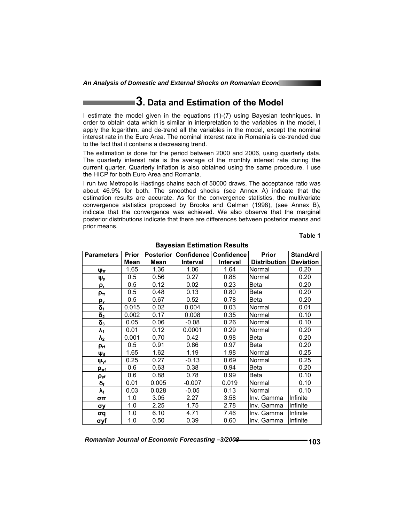## **3. Data and Estimation of the Model**

I estimate the model given in the equations (1)-(7) using Bayesian techniques. In order to obtain data which is similar in interpretation to the variables in the model, I apply the logarithm, and de-trend all the variables in the model, except the nominal interest rate in the Euro Area. The nominal interest rate in Romania is de-trended due to the fact that it contains a decreasing trend.

The estimation is done for the period between 2000 and 2006, using quarterly data. The quarterly interest rate is the average of the monthly interest rate during the current quarter. Quarterly inflation is also obtained using the same procedure. I use the HICP for both Euro Area and Romania.

I run two Metropolis Hastings chains each of 50000 draws. The acceptance ratio was about 46.9% for both. The smoothed shocks (see Annex A) indicate that the estimation results are accurate. As for the convergence statistics, the multivariate convergence statistics proposed by Brooks and Gelman (1998), (see Annex B), indicate that the convergence was achieved. We also observe that the marginal posterior distributions indicate that there are differences between posterior means and prior means.

**Table 1** 

| <b>Parameters</b>  | <b>Prior</b> |             | Posterior   Confidence   Confidence |                 | <b>Prior</b>        | <b>StandArd</b>  |
|--------------------|--------------|-------------|-------------------------------------|-----------------|---------------------|------------------|
|                    | Mean         | <b>Mean</b> | <b>Interval</b>                     | <b>Interval</b> | <b>Distribution</b> | <b>Deviation</b> |
| Ψπ                 | 1.65         | 1.36        | 1.06                                | 1.64            | Normal              | 0.20             |
| $\Psi_Y$           | 0.5          | 0.56        | 0.27                                | 0.88            | Normal              | 0.20             |
| ρ,                 | 0.5          | 0.12        | 0.02                                | 0.23            | Beta                | 0.20             |
| ρπ                 | 0.5          | 0.48        | 0.13                                | 0.80            | Beta                | 0.20             |
| <u>ρ,</u>          | 0.5          | 0.67        | 0.52                                | 0.78            | Beta                | 0.20             |
| $\delta_1$         | 0.015        | 0.02        | 0.004                               | 0.03            | Normal              | 0.01             |
| $\delta_2$         | 0.002        | 0.17        | 0.008                               | 0.35            | Normal              | 0.10             |
| $\delta_3$         | 0.05         | 0.06        | $-0.08$                             | 0.26            | Normal              | 0.10             |
| $\lambda_1$        | 0.01         | 0.12        | 0.0001                              | 0.29            | Normal              | 0.20             |
| $\lambda_2$        | 0.001        | 0.70        | 0.42                                | 0.98            | Beta                | 0.20             |
| $\rho$ rf          | 0.5          | 0.91        | 0.86                                | 0.97            | Beta                | 0.20             |
| $\Psi_{\text{if}}$ | 1.65         | 1.62        | 1.19                                | 1.98            | Normal              | 0.25             |
| $\Psi_{\text{vf}}$ | 0.25         | 0.27        | $-0.13$                             | 0.69            | Normal              | 0.25             |
| $\rho_{\pi f}$     | 0.6          | 0.63        | 0.38                                | 0.94            | Beta                | 0.20             |
| $\rho_{\rm vf}$    | 0.6          | 0.88        | 0.78                                | 0.99            | Beta                | 0.10             |
| δғ                 | 0.01         | 0.005       | $-0.007$                            | 0.019           | Normal              | 0.10             |
| у.                 | 0.03         | 0.028       | $-0.05$                             | 0.13            | Normal              | 0.10             |
| σπ                 | 1.0          | 3.05        | 2.27                                | 3.58            | Inv. Gamma          | Infinite         |
| σу                 | 1.0          | 2.25        | 1.75                                | 2.78            | Inv. Gamma          | Infinite         |
| σq                 | 1.0          | 6.10        | 4.71                                | 7.46            | Inv. Gamma          | Infinite         |
| σyf                | 1.0          | 0.50        | 0.39                                | 0.60            | Inv. Gamma          | Infinite         |

#### **Bayesian Estimation Results**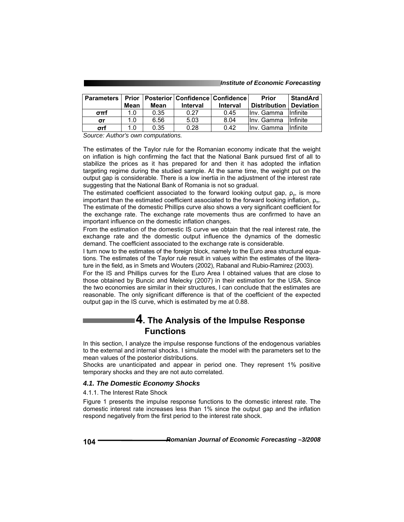#### *Institute of Economic Forecasting*

| <b>Parameters</b> |      |      | <b>Prior   Posterior   Confidence   Confidence  </b> |                 | Prior               | <b>StandArd</b>  |
|-------------------|------|------|------------------------------------------------------|-----------------|---------------------|------------------|
|                   | Mean | Mean | <b>Interval</b>                                      | <b>Interval</b> | <b>Distribution</b> | <b>Deviation</b> |
| $\sigma$ πf       | 1.0  | 0.35 | 0.27                                                 | 0.45            | Ilny, Gamma         | <b>Infinite</b>  |
| σr                | 1.0  | 6.56 | 5.03                                                 | 8.04            | Ilny. Gamma         | <b>Infinite</b>  |
| σrf               | 1.0  | 0.35 | 0.28                                                 | 0.42            | Ilny. Gamma         | <b>Infinite</b>  |

*Source: Author's own computations.* 

The estimates of the Taylor rule for the Romanian economy indicate that the weight on inflation is high confirming the fact that the National Bank pursued first of all to stabilize the prices as it has prepared for and then it has adopted the inflation targeting regime during the studied sample. At the same time, the weight put on the output gap is considerable. There is a low inertia in the adjustment of the interest rate suggesting that the National Bank of Romania is not so gradual.

The estimated coefficient associated to the forward looking output gap,  $\rho_v$ , is more important than the estimated coefficient associated to the forward looking inflation,  $\rho_{\pi}$ . The estimate of the domestic Phillips curve also shows a very significant coefficient for the exchange rate. The exchange rate movements thus are confirmed to have an important influence on the domestic inflation changes.

From the estimation of the domestic IS curve we obtain that the real interest rate, the exchange rate and the domestic output influence the dynamics of the domestic demand. The coefficient associated to the exchange rate is considerable.

I turn now to the estimates of the foreign block, namely to the Euro area structural equations. The estimates of the Taylor rule result in values within the estimates of the literature in the field, as in Smets and Wouters (2002), Rabanal and Rubio-Ramirez (2003).

For the IS and Phillips curves for the Euro Area I obtained values that are close to those obtained by Buncic and Melecky (2007) in their estimation for the USA. Since the two economies are similar in their structures, I can conclude that the estimates are reasonable. The only significant difference is that of the coefficient of the expected output gap in the IS curve, which is estimated by me at 0.88.

### **4. The Analysis of the Impulse Response Functions**

In this section, I analyze the impulse response functions of the endogenous variables to the external and internal shocks. I simulate the model with the parameters set to the mean values of the posterior distributions.

Shocks are unanticipated and appear in period one. They represent 1% positive temporary shocks and they are not auto correlated.

#### *4.1. The Domestic Economy Shocks*

4.1.1. The Interest Rate Shock

Figure 1 presents the impulse response functions to the domestic interest rate. The domestic interest rate increases less than 1% since the output gap and the inflation respond negatively from the first period to the interest rate shock.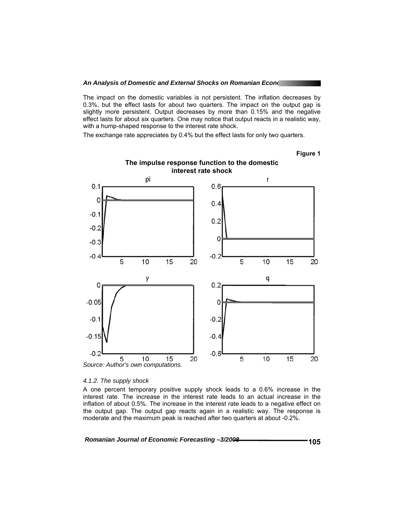The impact on the domestic variables is not persistent. The inflation decreases by 0.3%, but the effect lasts for about two quarters. The impact on the output gap is slightly more persistent. Output decreases by more than 0.15% and the negative effect lasts for about six quarters. One may notice that output reacts in a realistic way, with a hump-shaped response to the interest rate shock.

The exchange rate appreciates by 0.4% but the effect lasts for only two quarters.

**Figure 1** 



### **The impulse response function to the domestic interest rate shock**

#### *4.1.2. The supply shock*

A one percent temporary positive supply shock leads to a 0.6% increase in the interest rate. The increase in the interest rate leads to an actual increase in the inflation of about 0.5%. The increase in the interest rate leads to a negative effect on the output gap. The output gap reacts again in a realistic way. The response is moderate and the maximum peak is reached after two quarters at about -0.2%.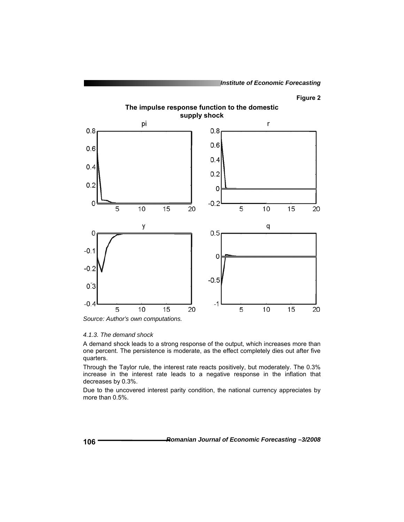**The impulse response function to the domestic supply shock** 



#### *Source: Author's own computations.*

#### *4.1.3. The demand shock*

A demand shock leads to a strong response of the output, which increases more than one percent. The persistence is moderate, as the effect completely dies out after five quarters.

Through the Taylor rule, the interest rate reacts positively, but moderately. The 0.3% increase in the interest rate leads to a negative response in the inflation that decreases by 0.3%.

Due to the uncovered interest parity condition, the national currency appreciates by more than 0.5%.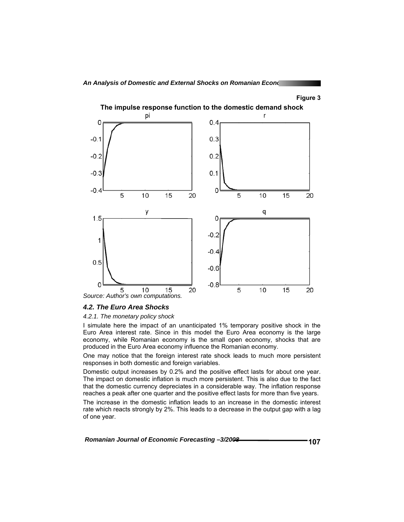

**The impulse response function to the domestic demand shock** 

*4.2. The Euro Area Shocks* 

#### *4.2.1. The monetary policy shock*

I simulate here the impact of an unanticipated 1% temporary positive shock in the Euro Area interest rate. Since in this model the Euro Area economy is the large economy, while Romanian economy is the small open economy, shocks that are produced in the Euro Area economy influence the Romanian economy.

One may notice that the foreign interest rate shock leads to much more persistent responses in both domestic and foreign variables.

Domestic output increases by 0.2% and the positive effect lasts for about one year. The impact on domestic inflation is much more persistent. This is also due to the fact that the domestic currency depreciates in a considerable way. The inflation response reaches a peak after one quarter and the positive effect lasts for more than five years.

The increase in the domestic inflation leads to an increase in the domestic interest rate which reacts strongly by 2%. This leads to a decrease in the output gap with a lag of one year.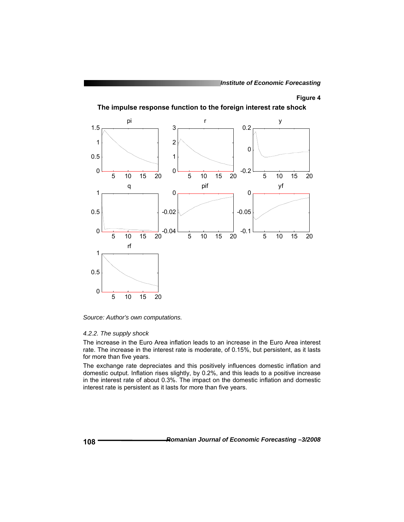**The impulse response function to the foreign interest rate shock** 



*Source: Author's own computations.* 

#### *4.2.2. The supply shock*

The increase in the Euro Area inflation leads to an increase in the Euro Area interest rate. The increase in the interest rate is moderate, of 0.15%, but persistent, as it lasts for more than five years.

The exchange rate depreciates and this positively influences domestic inflation and domestic output. Inflation rises slightly, by 0.2%, and this leads to a positive increase in the interest rate of about 0.3%. The impact on the domestic inflation and domestic interest rate is persistent as it lasts for more than five years.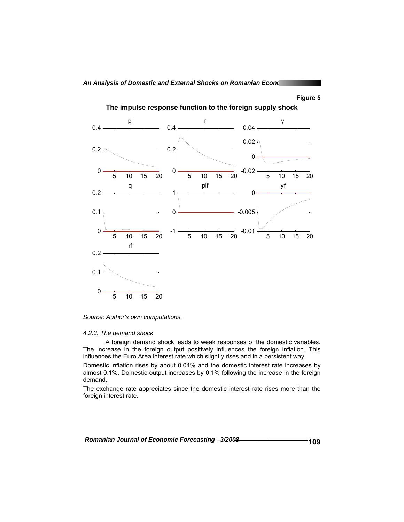

**The impulse response function to the foreign supply shock** 

*Source: Author's own computations.* 

#### *4.2.3. The demand shock*

 A foreign demand shock leads to weak responses of the domestic variables. The increase in the foreign output positively influences the foreign inflation. This influences the Euro Area interest rate which slightly rises and in a persistent way.

Domestic inflation rises by about 0.04% and the domestic interest rate increases by almost 0.1%. Domestic output increases by 0.1% following the increase in the foreign demand.

The exchange rate appreciates since the domestic interest rate rises more than the foreign interest rate.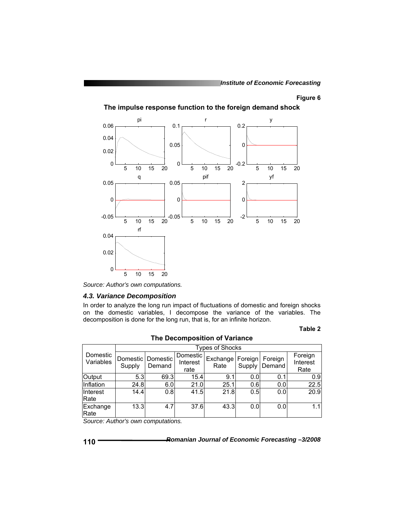![](_page_10_Figure_2.jpeg)

**The impulse response function to the foreign demand shock** 

*Source: Author's own computations.* 

#### *4.3. Variance Decomposition*

In order to analyze the long run impact of fluctuations of domestic and foreign shocks on the domestic variables, I decompose the variance of the variables. The decomposition is done for the long run, that is, for an infinite horizon.

#### **Table 2**

|                       | <b>Types of Shocks</b> |                               |                              |                  |                   |                   |                             |  |  |
|-----------------------|------------------------|-------------------------------|------------------------------|------------------|-------------------|-------------------|-----------------------------|--|--|
| Domestic<br>Variables | Supply                 | Domestic   Domestic<br>Demand | Domestic<br>Interest<br>rate | Exchange<br>Rate | Foreign<br>Supply | Foreign<br>Demand | Foreign<br>Interest<br>Rate |  |  |
| Output                | 5.3 <sub>l</sub>       | 69.3                          | 15.4                         | 9.1              | 0.0               | 0.1               | 0.9                         |  |  |
| Inflation             | 24.8                   | 6.0                           | 21.0                         | 25.1             | 0.6               | 0.0 <sub>l</sub>  | 22.5                        |  |  |
| Interest<br>Rate      | 14.4                   | 0.8                           | 41.5                         | 21.8             | 0.5               | 0.0               | 20.9                        |  |  |
| Exchange<br>Rate      | 13.3                   | 4.7                           | 37.6                         | 43.3             | 0.0               | 0.0               | 1.1                         |  |  |

**The Decomposition of Variance** 

*Source: Author's own computations.* 

$$
110^{-}
$$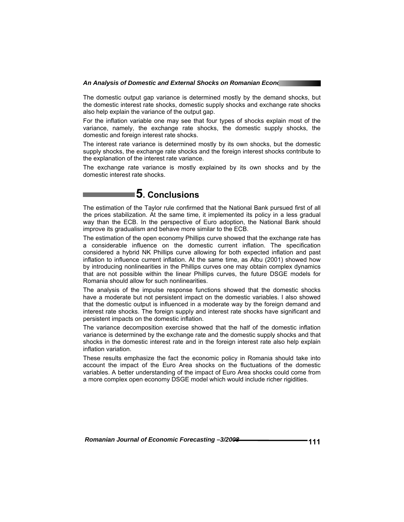The domestic output gap variance is determined mostly by the demand shocks, but the domestic interest rate shocks, domestic supply shocks and exchange rate shocks also help explain the variance of the output gap.

For the inflation variable one may see that four types of shocks explain most of the variance, namely, the exchange rate shocks, the domestic supply shocks, the domestic and foreign interest rate shocks.

The interest rate variance is determined mostly by its own shocks, but the domestic supply shocks, the exchange rate shocks and the foreign interest shocks contribute to the explanation of the interest rate variance.

The exchange rate variance is mostly explained by its own shocks and by the domestic interest rate shocks.

# **5. Conclusions**

The estimation of the Taylor rule confirmed that the National Bank pursued first of all the prices stabilization. At the same time, it implemented its policy in a less gradual way than the ECB. In the perspective of Euro adoption, the National Bank should improve its gradualism and behave more similar to the ECB.

The estimation of the open economy Phillips curve showed that the exchange rate has a considerable influence on the domestic current inflation. The specification considered a hybrid NK Phillips curve allowing for both expected inflation and past inflation to influence current inflation. At the same time, as Albu (2001) showed how by introducing nonlinearities in the Phillips curves one may obtain complex dynamics that are not possible within the linear Phillips curves, the future DSGE models for Romania should allow for such nonlinearities.

The analysis of the impulse response functions showed that the domestic shocks have a moderate but not persistent impact on the domestic variables. I also showed that the domestic output is influenced in a moderate way by the foreign demand and interest rate shocks. The foreign supply and interest rate shocks have significant and persistent impacts on the domestic inflation.

The variance decomposition exercise showed that the half of the domestic inflation variance is determined by the exchange rate and the domestic supply shocks and that shocks in the domestic interest rate and in the foreign interest rate also help explain inflation variation.

These results emphasize the fact the economic policy in Romania should take into account the impact of the Euro Area shocks on the fluctuations of the domestic variables. A better understanding of the impact of Euro Area shocks could come from a more complex open economy DSGE model which would include richer rigidities.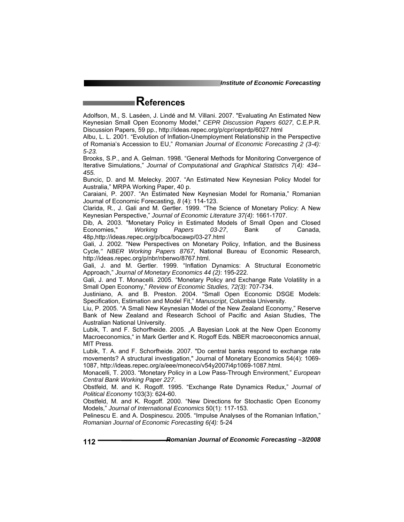*Institute of Economic Forecasting*

## **References**

Adolfson, M., S. Laséen, J. Lindé and M. Villani. 2007. "Evaluating An Estimated New Keynesian Small Open Economy Model," *CEPR Discussion Papers 6027*, C.E.P.R. Discussion Papers, 59 pp., http://ideas.repec.org/p/cpr/ceprdp/6027.html

Albu, L. L. 2001. "Evolution of Inflation-Unemployment Relationship in the Perspective of Romania's Accession to EU," *Romanian Journal of Economic Forecasting 2 (3-4): 5-23.*

Brooks, S.P., and A. Gelman. 1998. "General Methods for Monitoring Convergence of Iterative Simulations," *Journal of Computational and Graphical Statistics 7*(*4): 434– 455.*

Buncic, D. and M. Melecky. 2007. "An Estimated New Keynesian Policy Model for Australia," MRPA Working Paper, 40 p.

Caraiani, P. 2007. "An Estimated New Keynesian Model for Romania," Romanian Journal of Economic Forecasting, *8* (4): 114-123.

Clarida, R., J. Gali and M. Gertler. 1999. "The Science of Monetary Policy: A New Keynesian Perspective," *Journal of Economic Literature 37(4)*: 1661-1707.

Dib, A. 2003. "Monetary Policy in Estimated Models of Small Open and Closed Economies," *Working Papers 03-27*, Bank of Canada, 48p,http://ideas.repec.org/p/bca/bocawp/03-27.html

Gali, J. 2002. "New Perspectives on Monetary Policy, Inflation, and the Business Cycle*," NBER Working Papers 8767*, National Bureau of Economic Research, http://ideas.repec.org/p/nbr/nberwo/8767.html.

Gali, J. and M. Gertler. 1999. "Inflation Dynamics: A Structural Econometric Approach," *Journal of Monetary Economics 44 (2)*: 195-222.

Gali, J. and T. Monacelli. 2005. "Monetary Policy and Exchange Rate Volatility in a Small Open Economy," *Review of Economic Studies, 72(3):* 707-734.

Justiniano, A. and B. Preston. 2004. "Small Open Economic DSGE Models: Specification, Estimation and Model Fit," *Manuscript*, Columbia University.

Liu, P. 2005. "A Small New Keynesian Model of the New Zealand Economy," Reserve Bank of New Zealand and Research School of Pacific and Asian Studies, The Australian National University.

Lubik, T. and F. Schorfheide. 2005. "A Bayesian Look at the New Open Economy Macroeconomics," in Mark Gertler and K. Rogoff Eds. NBER macroeconomics annual, MIT Press.

Lubik, T. A. and F. Schorfheide. 2007. "Do central banks respond to exchange rate movements? A structural investigation," Journal of Monetary Economics 54(4): 1069- 1087, http://ideas.repec.org/a/eee/moneco/v54y2007i4p1069-1087.html.

Monacelli, T. 2003. "Monetary Policy in a Low Pass-Through Environment," *European Central Bank Working Paper 227*.

Obstfeld, M. and K. Rogoff. 1995. "Exchange Rate Dynamics Redux," *Journal of Political Economy* 103(3): 624-60.

Obstfeld, M. and K. Rogoff. 2000. "New Directions for Stochastic Open Economy Models," *Journal of International Economics* 50(1): 117-153.

Pelinescu E. and A. Dospinescu. 2005. "Impulse Analyses of the Romanian Inflation," *Romanian Journal of Economic Forecasting 6(4):* 5-24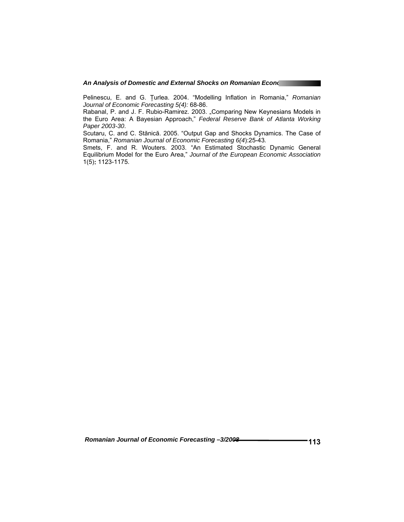Pelinescu, E. and G. Ţurlea. 2004. "Modelling Inflation in Romania," *Romanian Journal of Economic Forecasting 5(4):* 68-86.

Rabanal, P. and J. F. Rubio-Ramirez. 2003. "Comparing New Keynesians Models in the Euro Area: A Bayesian Approach," *Federal Reserve Bank of Atlanta Working Paper 2003-30*.

Scutaru, C. and C. Stănică. 2005. "Output Gap and Shocks Dynamics. The Case of Romania," *Romanian Journal of Economic Forecasting 6(4*):25-43*.*

Smets, F. and R. Wouters. 2003. "An Estimated Stochastic Dynamic General Equilibrium Model for the Euro Area," *Journal of the European Economic Association*  1(5)**:** 1123-1175.